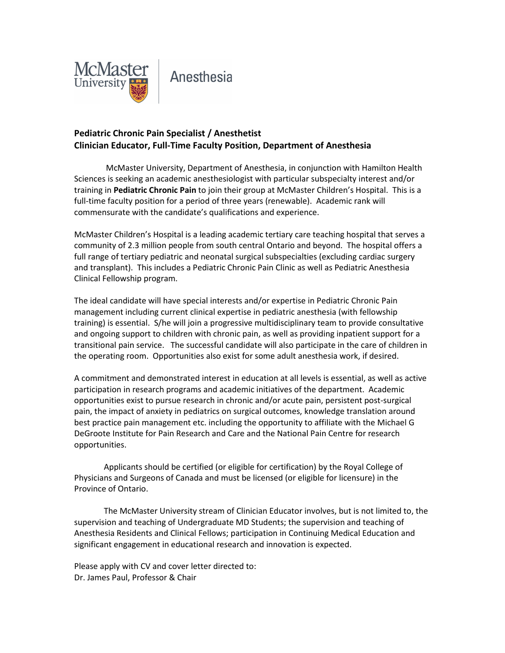

## Anesthesia

## **Pediatric Chronic Pain Specialist / Anesthetist Clinician Educator, Full-Time Faculty Position, Department of Anesthesia**

McMaster University, Department of Anesthesia, in conjunction with Hamilton Health Sciences is seeking an academic anesthesiologist with particular subspecialty interest and/or training in **Pediatric Chronic Pain** to join their group at McMaster Children's Hospital. This is a full-time faculty position for a period of three years (renewable). Academic rank will commensurate with the candidate's qualifications and experience.

McMaster Children's Hospital is a leading academic tertiary care teaching hospital that serves a community of 2.3 million people from south central Ontario and beyond. The hospital offers a full range of tertiary pediatric and neonatal surgical subspecialties (excluding cardiac surgery and transplant). This includes a Pediatric Chronic Pain Clinic as well as Pediatric Anesthesia Clinical Fellowship program.

The ideal candidate will have special interests and/or expertise in Pediatric Chronic Pain management including current clinical expertise in pediatric anesthesia (with fellowship training) is essential. S/he will join a progressive multidisciplinary team to provide consultative and ongoing support to children with chronic pain, as well as providing inpatient support for a transitional pain service. The successful candidate will also participate in the care of children in the operating room. Opportunities also exist for some adult anesthesia work, if desired.

A commitment and demonstrated interest in education at all levels is essential, as well as active participation in research programs and academic initiatives of the department. Academic opportunities exist to pursue research in chronic and/or acute pain, persistent post-surgical pain, the impact of anxiety in pediatrics on surgical outcomes, knowledge translation around best practice pain management etc. including the opportunity to affiliate with the Michael G DeGroote Institute for Pain Research and Care and the National Pain Centre for research opportunities.

Applicants should be certified (or eligible for certification) by the Royal College of Physicians and Surgeons of Canada and must be licensed (or eligible for licensure) in the Province of Ontario.

The McMaster University stream of Clinician Educator involves, but is not limited to, the supervision and teaching of Undergraduate MD Students; the supervision and teaching of Anesthesia Residents and Clinical Fellows; participation in Continuing Medical Education and significant engagement in educational research and innovation is expected.

Please apply with CV and cover letter directed to: Dr. James Paul, Professor & Chair